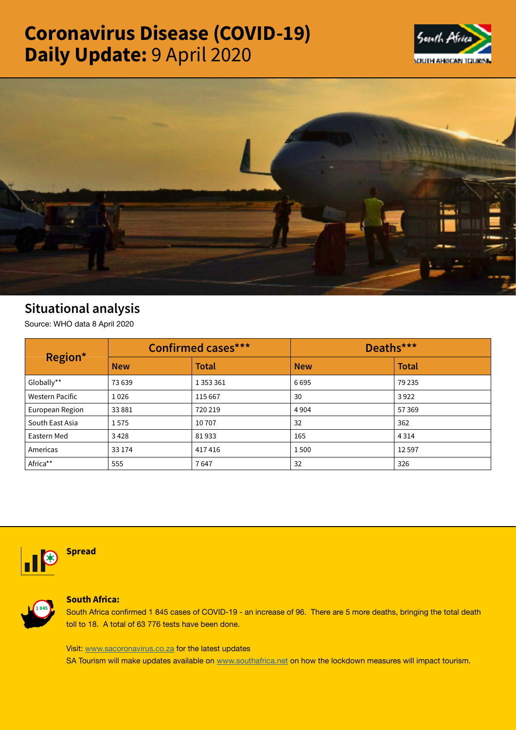# Coronavirus Disease (COVID-19) Daily Update: 9 April 2020





## Situational analysis

Source: WHO data 8 April 2020

| Region*                | <b>Confirmed cases***</b> |               | Deaths***  |              |
|------------------------|---------------------------|---------------|------------|--------------|
|                        | <b>New</b>                | <b>Total</b>  | <b>New</b> | <b>Total</b> |
| Globally**             | 73 639                    | 1 3 5 3 3 6 1 | 6695       | 79 235       |
| <b>Western Pacific</b> | 1026                      | 115 667       | 30         | 3922         |
| European Region        | 33881                     | 720 219       | 4904       | 57369        |
| South East Asia        | 1575                      | 10707         | 32         | 362          |
| Eastern Med            | 3428                      | 81933         | 165        | 4 3 1 4      |
| Americas               | 33 174                    | 417416        | 1500       | 12597        |
| Africa**               | 555                       | 7647          | 32         | 326          |



### Spread



#### South Africa:

South Africa confirmed 1 845 cases of COVID-19 - an increase of 96. There are 5 more deaths, bringing the total death toll to 18. A total of 63 776 tests have been done.

Visit: [www.sacoronavirus.co.za](http://www.sacoronavirus.co.za) for the latest updates

SA Tourism will make updates available on [www.southafrica.net](http://www.southafrica.net) on how the lockdown measures will impact tourism.